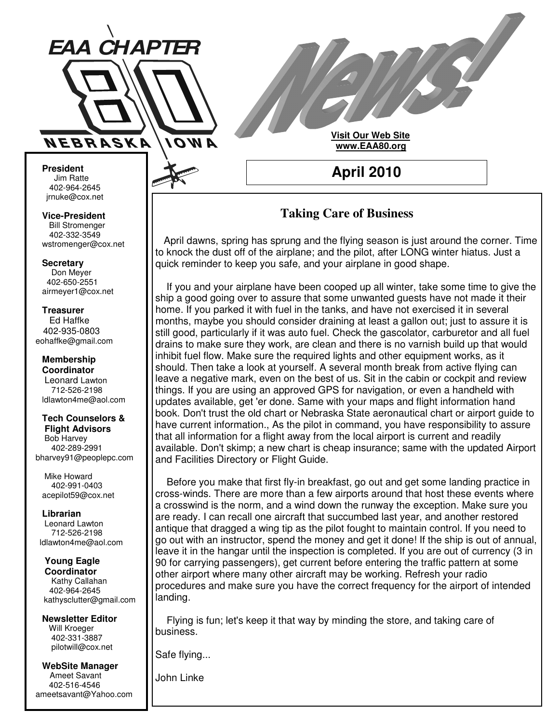

**Visit Our Web Site www.EAA80.org**

**April 2010**

**President** Jim Ratte 402-964-2645 jrnuke@cox.net Jim Ratte<br>402-964-2645<br>rnuke@cox.net<br>**ice-President**<br>Bill Stromenger

**Vice-President Bill Stromenger** 402-332-3549 jrnuke@cox.net 402-332-3549wstromenger@cox.net

**Secretary** Don Meyer Don Meyer 402-650-2551 airmeyer1@cox.net

#### **Treasurer** Ed Haffke Ed Haffke 402-935-0803 eohaffke@gmail.com

**Membership Coordinator** Leonard Lawton 402-895-0125 712-526-2198 ldlawton4me@aol.com

## **Tech Counselors & Tech Counselors &**

**Flight Advisors Flight Advisors** Bob Harvey Bob Harvey 402-289-2991 402-289-2991 bharvey91@peoplepc.com bharvey91@peoplepc.com

Mike Howard Mike Howard 402-991-0403 402-991-0403 acepilot59@cox.net acepilot59@cox.net

**Librarian Librarian** Leonard Lawton Leonard Lawton 712-526-2198 712-526-2198 ldlawton4me@aol.com ldlawton4me@aol.com

**Young Eagle Young Eagle Coordinator Coordinator** Kathy Callahan 402-964-2645 402-964-2645 kathysclutter@gmail.com

**Newsletter Editor Newsletter Editor** Will Kroeger Will Kroeger 402-331-3887 402-331-3887 pilotwill@cox.net pilotwill@cox.net

**WebSite Manager WebSite Manager** Ameet Savant Ameet Savant 402-516-4546 402-516-4546 ameetsavant@Yahoo.com ameetsavant@Yahoo.com

# **Taking Care of Business**

April dawns, spring has sprung and the flying season is just around the corner. Time to knock the dust off of the airplane; and the pilot, after LONG winter hiatus. Just a quick reminder to keep you safe, and your airplane in good shape.

If you and your airplane have been cooped up all winter, take some time to give the ship a good going over to assure that some unwanted guests have not made it their home. If you parked it with fuel in the tanks, and have not exercised it in several months, maybe you should consider draining at least a gallon out; just to assure it is still good, particularly if it was auto fuel. Check the gascolator, carburetor and all fuel drains to make sure they work, are clean and there is no varnish build up that would inhibit fuel flow. Make sure the required lights and other equipment works, as it should. Then take a look at yourself. A several month break from active flying can leave a negative mark, even on the best of us. Sit in the cabin or cockpit and review things. If you are using an approved GPS for navigation, or even a handheld with updates available, get 'er done. Same with your maps and flight information hand book. Don't trust the old chart or Nebraska State aeronautical chart or airport guide to have current information., As the pilot in command, you have responsibility to assure that all information for a flight away from the local airport is current and readily available. Don't skimp; a new chart is cheap insurance; same with the updated Airport and Facilities Directory or Flight Guide.

Before you make that first fly-in breakfast, go out and get some landing practice in cross-winds. There are more than a few airports around that host these events where a crosswind is the norm, and a wind down the runway the exception. Make sure you are ready. I can recall one aircraft that succumbed last year, and another restored antique that dragged a wing tip as the pilot fought to maintain control. If you need to go out with an instructor, spend the money and get it done! If the ship is out of annual, leave it in the hangar until the inspection is completed. If you are out of currency (3 in 90 for carrying passengers), get current before entering the traffic pattern at some other airport where many other aircraft may be working. Refresh your radio procedures and make sure you have the correct frequency for the airport of intended landing.

Flying is fun; let's keep it that way by minding the store, and taking care of business.

Safe flying...

John Linke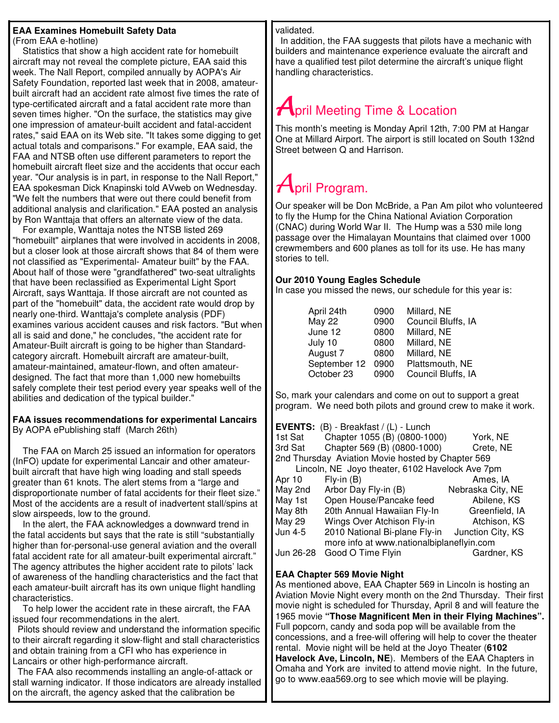## **EAA Examines Homebuilt Safety Data**

(From EAA e-hotline)

Statistics that show a high accident rate for homebuilt aircraft may not reveal the complete picture, EAA said this week. The Nall Report, compiled annually by AOPA's Air Safety Foundation, reported last week that in 2008, amateurbuilt aircraft had an accident rate almost five times the rate of type-certificated aircraft and a fatal accident rate more than seven times higher. "On the surface, the statistics may give one impression of amateur-built accident and fatal-accident rates," said EAA on its Web site. "It takes some digging to get actual totals and comparisons." For example, EAA said, the FAA and NTSB often use different parameters to report the homebuilt aircraft fleet size and the accidents that occur each year. "Our analysis is in part, in response to the Nall Report," EAA spokesman Dick Knapinski told AVweb on Wednesday. "We felt the numbers that were out there could benefit from additional analysis and clarification." EAA posted an analysis by Ron Wanttaja that offers an alternate view of the data.

For example, Wanttaja notes the NTSB listed 269 "homebuilt" airplanes that were involved in accidents in 2008, but a closer look at those aircraft shows that 84 of them were not classified as "Experimental- Amateur built" by the FAA. About half of those were "grandfathered" two-seat ultralights that have been reclassified as Experimental Light Sport Aircraft, says Wanttaja. If those aircraft are not counted as part of the "homebuilt" data, the accident rate would drop by nearly one-third. Wanttaja's complete analysis (PDF) examines various accident causes and risk factors. "But when all is said and done," he concludes, "the accident rate for Amateur-Built aircraft is going to be higher than Standardcategory aircraft. Homebuilt aircraft are amateur-built, amateur-maintained, amateur-flown, and often amateurdesigned. The fact that more than 1,000 new homebuilts safely complete their test period every year speaks well of the abilities and dedication of the typical builder."

#### **FAA issues recommendations for experimental Lancairs** By AOPA ePublishing staff (March 26th)

The FAA on March 25 issued an information for operators (InFO) update for experimental Lancair and other amateurbuilt aircraft that have high wing loading and stall speeds greater than 61 knots. The alert stems from a "large and disproportionate number of fatal accidents for their fleet size." Most of the accidents are a result of inadvertent stall/spins at slow airspeeds, low to the ground.

In the alert, the FAA acknowledges a downward trend in the fatal accidents but says that the rate is still "substantially higher than for-personal-use general aviation and the overall fatal accident rate for all amateur-built experimental aircraft." The agency attributes the higher accident rate to pilots' lack of awareness of the handling characteristics and the fact that each amateur-built aircraft has its own unique flight handling characteristics.

To help lower the accident rate in these aircraft, the FAA issued four recommendations in the alert.

Pilots should review and understand the information specific to their aircraft regarding it slow-flight and stall characteristics and obtain training from a CFI who has experience in Lancairs or other high-performance aircraft.

The FAA also recommends installing an angle-of-attack or stall warning indicator. If those indicators are already installed on the aircraft, the agency asked that the calibration be

validated.

In addition, the FAA suggests that pilots have a mechanic with builders and maintenance experience evaluate the aircraft and have a qualified test pilot determine the aircraft's unique flight handling characteristics.

# $A$ pril Meeting Time & Location

This month's meeting is Monday April 12th, 7:00 PM at Hangar One at Millard Airport. The airport is still located on South 132nd Street between Q and Harrison.

# $A$ pril Program.

Our speaker will be Don McBride, a Pan Am pilot who volunteered to fly the Hump for the China National Aviation Corporation (CNAC) during World War II. The Hump was a 530 mile long passage over the Himalayan Mountains that claimed over 1000 crewmembers and 600 planes as toll for its use. He has many stories to tell.

### **Our 2010 Young Eagles Schedule**

In case you missed the news, our schedule for this year is:

| April 24th    | 0900 | Millard, NE        |
|---------------|------|--------------------|
| <b>May 22</b> | 0900 | Council Bluffs, IA |
| June 12       | 0800 | Millard, NE        |
| July 10       | 0800 | Millard, NE        |
| August 7      | 0800 | Millard, NE        |
| September 12  | 0900 | Plattsmouth, NE    |
| October 23    | 0900 | Council Bluffs, IA |

So, mark your calendars and come on out to support a great program. We need both pilots and ground crew to make it work.

|                                                   | <b>EVENTS:</b> (B) - Breakfast / (L) - Lunch |                   |  |
|---------------------------------------------------|----------------------------------------------|-------------------|--|
| 1st Sat                                           | Chapter 1055 (B) (0800-1000)                 | York, NE          |  |
| 3rd Sat                                           | Chapter 569 (B) (0800-1000)                  | Crete, NE         |  |
| 2nd Thursday Aviation Movie hosted by Chapter 569 |                                              |                   |  |
| Lincoln, NE Joyo theater, 6102 Havelock Ave 7pm   |                                              |                   |  |
| Apr 10                                            | $Fly-in(B)$                                  | Ames, IA          |  |
| May 2nd                                           | Arbor Day Fly-in (B)                         | Nebraska City, NE |  |
| May 1st                                           | Open House/Pancake feed                      | Abilene, KS       |  |
| May 8th                                           | 20th Annual Hawaiian Fly-In                  | Greenfield, IA    |  |
| <b>May 29</b>                                     | Wings Over Atchison Fly-in                   | Atchison, KS      |  |
| Jun 4-5                                           | 2010 National Bi-plane Fly-in                | Junction City, KS |  |
|                                                   | more info at www.nationalbiplaneflyin.com    |                   |  |
| Jun 26-28                                         | Good O Time Flyin                            | Gardner, KS       |  |

### **EAA Chapter 569 Movie Night**

As mentioned above, EAA Chapter 569 in Lincoln is hosting an Aviation Movie Night every month on the 2nd Thursday. Their first movie night is scheduled for Thursday, April 8 and will feature the 1965 movie **"Those Magnificent Men in their Flying Machines".** Full popcorn, candy and soda pop will be available from the concessions, and a free-will offering will help to cover the theater rental. Movie night will be held at the Joyo Theater (**6102 Havelock Ave, Lincoln, NE**). Members of the EAA Chapters in Omaha and York are invited to attend movie night. In the future, go to www.eaa569.org to see which movie will be playing.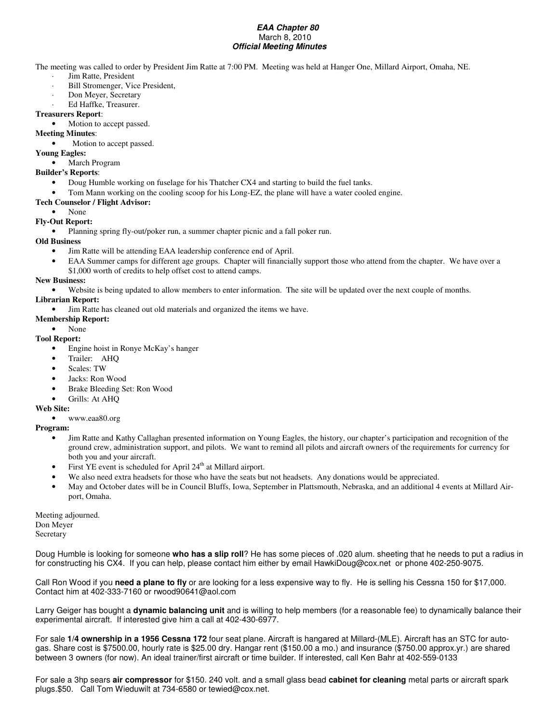#### *EAA Chapter 80* March 8, 2010 *Official Meeting Minutes*

The meeting was called to order by President Jim Ratte at 7:00 PM. Meeting was held at Hanger One, Millard Airport, Omaha, NE.

- Jim Ratte, President
- Bill Stromenger, Vice President,
- Don Meyer, Secretary
- Ed Haffke, Treasurer.

#### **Treasurers Report**:

- Motion to accept passed.
- **Meeting Minutes**:
	- Motion to accept passed.
- **Young Eagles:**

#### • March Program

- **Builder's Reports**:
	- Doug Humble working on fuselage for his Thatcher CX4 and starting to build the fuel tanks.
	- Tom Mann working on the cooling scoop for his Long-EZ, the plane will have a water cooled engine.

#### **Tech Counselor / Flight Advisor:**

- None
- **Fly-Out Report:**
	- Planning spring fly-out/poker run, a summer chapter picnic and a fall poker run.

#### **Old Business**

- Jim Ratte will be attending EAA leadership conference end of April.
- EAA Summer camps for different age groups. Chapter will financially support those who attend from the chapter. We have over a
- \$1,000 worth of credits to help offset cost to attend camps.

#### **New Business:**

• Website is being updated to allow members to enter information. The site will be updated over the next couple of months.

#### **Librarian Report:**

• Jim Ratte has cleaned out old materials and organized the items we have.

**Membership Report:**

#### • None **Tool Report:**

- Engine hoist in Ronye McKay's hanger
- Trailer: AHQ
- Scales: TW
- Jacks: Ron Wood
- Brake Bleeding Set: Ron Wood
- Grills: At AHQ

#### **Web Site:**

• www.eaa80.org

#### **Program:**

- Jim Ratte and Kathy Callaghan presented information on Young Eagles, the history, our chapter's participation and recognition of the ground crew, administration support, and pilots. We want to remind all pilots and aircraft owners of the requirements for currency for both you and your aircraft.
- First YE event is scheduled for April 24<sup>th</sup> at Millard airport.
- We also need extra headsets for those who have the seats but not headsets. Any donations would be appreciated.
- May and October dates will be in Council Bluffs, Iowa, September in Plattsmouth, Nebraska, and an additional 4 events at Millard Airport, Omaha.

Meeting adjourned. Don Meyer Secretary

Doug Humble is looking for someone **who has a slip roll**? He has some pieces of .020 alum. sheeting that he needs to put a radius in for constructing his CX4. If you can help, please contact him either by email HawkiDoug@cox.net or phone 402-250-9075.

Call Ron Wood if you **need a plane to fly** or are looking for a less expensive way to fly. He is selling his Cessna 150 for \$17,000. Contact him at 402-333-7160 or rwood90641@aol.com

Larry Geiger has bought a **dynamic balancing unit** and is willing to help members (for a reasonable fee) to dynamically balance their experimental aircraft. If interested give him a call at 402-430-6977.

For sale **1/4 ownership in a 1956 Cessna 172** four seat plane. Aircraft is hangared at Millard-(MLE). Aircraft has an STC for autogas. Share cost is \$7500.00, hourly rate is \$25.00 dry. Hangar rent (\$150.00 a mo.) and insurance (\$750.00 approx.yr.) are shared between 3 owners (for now). An ideal trainer/first aircraft or time builder. If interested, call Ken Bahr at 402-559-0133

For sale a 3hp sears **air compressor** for \$150. 240 volt. and a small glass bead **cabinet for cleaning** metal parts or aircraft spark plugs.\$50. Call Tom Wieduwilt at 734-6580 or tewied@cox.net.